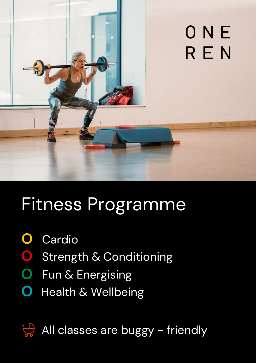

# Fitness Programme

- **O** Cardio
- Strength & Conditioning **O**
- **O** Fun & Energising
- **O** Health & Wellbeing

All classes are buggy - friendly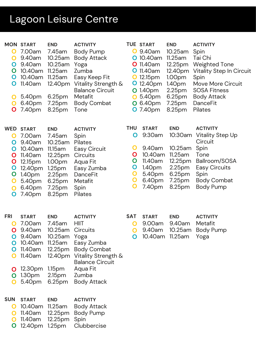## Lagoon Leisure Centre

| O<br>O<br>O<br>O<br>O<br>O<br>O<br>O                              | <b>MON START</b><br>7.00am<br>9.40am<br>9.40am<br>10.40am<br>10.40am<br>11.40am<br>5.40pm<br>6.40pm<br>7.40pm          | <b>END</b><br>7.45am<br>10.25am<br>10.25am<br>11.25am<br>11.25am<br>12.40pm<br>6.25pm<br>7.25pm<br>8.25pm                                                         | <b>ACTIVITY</b><br><b>Body Pump</b><br><b>Body Attack</b><br>Yoga<br>Zumba<br>Easy Keep Fit<br>Vitality Strength &<br><b>Balance Circuit</b><br>Metafit<br><b>Body Combat</b><br>Tone | O<br>O                                                                 | <b>TUE START</b><br>9.40am<br><b>O</b> 10.40am<br><b>O</b> 11.40am<br><b>O</b> 11.40am<br>12.15pm<br><b>O</b> 12.40pm<br><b>O</b> 1.40pm<br>5.40pm<br>6.40pm<br><b>O</b> 7.40pm | <b>END</b><br>10.25am<br>$11.25$ am<br>12.25pm<br>12.40pm<br>1.00 <sub>pm</sub><br>1.40 <sub>pm</sub><br>2.25 <sub>pm</sub><br>6.25 <sub>pm</sub><br>7.25 <sub>pm</sub><br>8.25pm | <b>ACTIVITY</b><br>Spin<br>Tai Chi<br><b>Weighted Tone</b><br><b>Vitality Step In Circuit</b><br>Spin<br><b>Move More Circuit</b><br><b>SOSA Fitness</b><br><b>Body Attack</b><br><b>DanceFit</b><br>Pilates |
|-------------------------------------------------------------------|------------------------------------------------------------------------------------------------------------------------|-------------------------------------------------------------------------------------------------------------------------------------------------------------------|---------------------------------------------------------------------------------------------------------------------------------------------------------------------------------------|------------------------------------------------------------------------|---------------------------------------------------------------------------------------------------------------------------------------------------------------------------------|-----------------------------------------------------------------------------------------------------------------------------------------------------------------------------------|--------------------------------------------------------------------------------------------------------------------------------------------------------------------------------------------------------------|
| <b>WED</b><br>$\mathbf O$<br>O<br>O<br>O<br>O<br>O<br>O<br>O<br>O | <b>START</b><br>7.00am<br>9.40am<br>10.40am<br>11.40am<br>12.15pm<br>12.40pm<br>1.40pm<br>5.40pm<br>6.40pm<br>7.40pm   | <b>END</b><br>7.45am<br>10.25am<br>11.15am<br>12.25pm<br>1.00 <sub>pm</sub><br>1.25 <sub>pm</sub><br>2.25 <sub>pm</sub><br>6.25pm<br>7.25 <sub>pm</sub><br>8.25pm | <b>ACTIVITY</b><br>Spin<br><b>Pilates</b><br><b>Easy Circuit</b><br>Circuits<br>Aqua Fit<br>Easy Zumba<br><b>DanceFit</b><br>Metafit<br>Spin<br>Pilates                               | <b>THU</b><br>O<br>Ő<br>O<br>O<br>$\mathbf O$<br>O<br>$\mathbf O$<br>O | <b>START</b><br>9:30am<br>9.40am<br>10.40am<br>11.40am<br>1.40 <sub>pm</sub><br>5.40pm<br>6.40pm<br>7.40pm                                                                      | <b>END</b><br>10:30am<br>10.25am<br>$11.25$ am<br>12.25pm<br>2.25 <sub>pm</sub><br>6.25 <sub>pm</sub><br>7.25pm<br>8.25pm                                                         | <b>ACTIVITY</b><br><b>Vitality Step Up</b><br>Circuit<br>Spin<br>Tone<br>Ballroom/SOSA<br><b>Easy Circuits</b><br>Spin<br><b>Body Combat</b><br><b>Body Pump</b>                                             |
| <b>FRI</b><br>O<br>O<br>Ő<br>Ő<br>Õ<br>Ő<br>Ő                     | <b>START</b><br>7.00am<br>9.40am<br>9.40am<br>10.40am<br>11.40am<br>11.40am<br>12.30pm<br>1.30 <sub>pm</sub><br>5.40pm | <b>END</b><br>7.45am<br>10.25am<br>10.25am<br>11.25am<br>12.25 <sub>pm</sub><br>12.40pm<br>1.15 <sub>pm</sub><br>2.15pm<br>6.25pm                                 | <b>ACTIVITY</b><br><b>HIIT</b><br>Circuits<br>Yoga<br>Easy Zumba<br><b>Body Combat</b><br>Vitality Strength &<br><b>Balance Circuit</b><br>Aqua Fit<br>Zumba<br><b>Body Attack</b>    | <b>SAT</b><br>O<br>O                                                   | <b>START</b><br>9.00am<br>9.40am                                                                                                                                                | <b>END</b><br>9.40am<br>10.25am<br>10.40am 11.25am                                                                                                                                | <b>ACTIVITY</b><br>Metafit<br><b>Body Pump</b><br>Yoga                                                                                                                                                       |
| <b>SUN</b><br>O<br>O<br>O<br>O                                    | <b>START</b><br>10.40am<br>11.40am<br>11.40am<br>12.40pm                                                               | <b>END</b><br>$11.25$ am<br>12.25 <sub>pm</sub><br>12.25pm<br>1.25 <sub>pm</sub>                                                                                  | <b>ACTIVITY</b><br><b>Body Attack</b><br><b>Body Pump</b><br>Spin<br>Clubbercise                                                                                                      |                                                                        |                                                                                                                                                                                 |                                                                                                                                                                                   |                                                                                                                                                                                                              |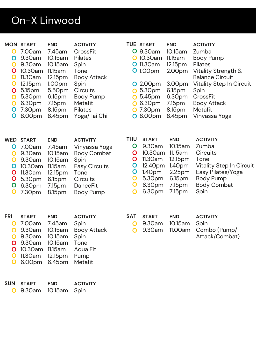### On-X Linwood

| O<br>O<br>O<br>O<br>$\mathbf O$<br>O<br>O<br>O<br>O<br>$\mathbf O$<br>O | <b>MON START</b><br>7.00am<br>9.30am<br>9.30am<br>10.30am<br>11.30am<br>12.15pm<br>5.15pm<br>5.30pm<br>6.30pm<br>7.30pm<br>8.00pm | <b>END</b><br>7.45am<br>10.15am<br>10.15am<br>11.15am<br>12.15pm<br>1.00pm<br>5.50pm<br>6.15pm<br>7.15pm<br>8.15pm<br>8.45pm | <b>ACTIVITY</b><br>CrossFit<br><b>Pilates</b><br>Spin<br>Tone<br><b>Body Attack</b><br>Spin<br>Circuits<br><b>Body Pump</b><br>Metafit<br><b>Pilates</b><br>Yoga/Tai Chi | O<br>O<br>O<br>O<br>O<br>O                                                                 | <b>TUE START</b><br>9.30am<br>10.30am<br><b>O</b> 11.30am<br><b>O</b> 1.00pm<br>2.00pm<br>5.30pm<br>5.45pm<br>6.30pm<br>7.30pm<br><b>O</b> 8.00pm | <b>END</b><br>10.15am<br>11.15 am<br>12.15pm<br>2.00pm<br>3.00pm<br>6.15pm<br>6.30pm<br>7.15pm<br>8.15pm<br>8.45pm    | <b>ACTIVITY</b><br>Zumba<br><b>Body Pump</b><br><b>Pilates</b><br>Vitality Strength &<br><b>Balance Circuit</b><br><b>Vitality Step In Circuit</b><br>Spin<br>CrossFit<br><b>Body Attack</b><br>Metafit<br>Vinyassa Yoga |
|-------------------------------------------------------------------------|-----------------------------------------------------------------------------------------------------------------------------------|------------------------------------------------------------------------------------------------------------------------------|--------------------------------------------------------------------------------------------------------------------------------------------------------------------------|--------------------------------------------------------------------------------------------|---------------------------------------------------------------------------------------------------------------------------------------------------|-----------------------------------------------------------------------------------------------------------------------|--------------------------------------------------------------------------------------------------------------------------------------------------------------------------------------------------------------------------|
| <b>WED</b><br>O<br>O<br>O<br>O<br>O<br>O<br>O<br>$\mathbf O$            | <b>START</b><br>7.00am<br>9.30am<br>9.30am<br>10.30am<br>11.30am<br>5.30pm<br>6.30pm<br>7.30pm                                    | <b>END</b><br>7.45am<br>10.15am<br>10.15am<br>11.15 am<br>12.15pm<br>6.15pm<br>7.15pm<br>8.15pm                              | <b>ACTIVITY</b><br>Vinyassa Yoga<br><b>Body Combat</b><br>Spin<br><b>Easy Circuits</b><br>Tone<br>Circuits<br><b>DanceFit</b><br><b>Body Pump</b>                        | <b>THU</b><br>O<br>$\mathbf O$<br>O<br>O<br>O<br>$\mathbf O$<br>$\mathbf O$<br>$\mathbf O$ | <b>START</b><br>9.30am<br>10.30am<br>11.30am<br>12.40pm<br>1.40 <sub>pm</sub><br>5.30pm<br>6.30pm<br>6.30pm                                       | <b>END</b><br>10.15am<br>11.15am<br>12.15pm<br>1.40 <sub>pm</sub><br>2.25 <sub>pm</sub><br>6.15pm<br>7.15pm<br>7.15pm | <b>ACTIVITY</b><br>Zumba<br>Circuits<br>Tone<br><b>Vitality Step In Circuit</b><br>Easy Pilates/Yoga<br><b>Body Pump</b><br><b>Body Combat</b><br>Spin                                                                   |
| FRI<br>O<br>$\mathbf O$<br>Ő<br>O<br>O<br>O                             | <b>START</b><br>7.00am<br>9.30am<br>9.30am<br>9.30am<br>10.30am<br>11.30am<br>6.00pm                                              | <b>END</b><br>7.45am<br>10.15am<br>10.15am<br>10.15am<br>11.15am<br>12.15pm<br>6.45pm                                        | <b>ACTIVITY</b><br>Spin<br><b>Body Attack</b><br>Spin<br>Tone<br>Aqua Fit<br>Pump<br>Metafit                                                                             | <b>SAT</b><br>O<br>O                                                                       | <b>START</b><br>9.30am<br>9.30am                                                                                                                  | <b>END</b><br>10.15am<br>11.00am                                                                                      | <b>ACTIVITY</b><br>Spin<br>Combo (Pump/<br>Attack/Combat)                                                                                                                                                                |

| SUN START | <b>END</b>            | <b>ACTIVITY</b> |  |  |
|-----------|-----------------------|-----------------|--|--|
|           | O 9.30am 10.15am Spin |                 |  |  |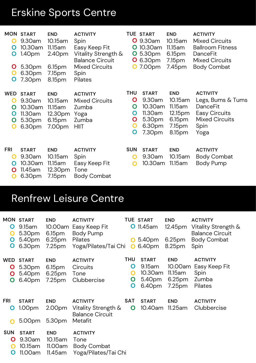#### Erskine Sports Centre

| O<br>O<br>O<br>Õ<br>Õ               | <b>MON START</b><br>9.30am<br>10.30am<br>1.40 <sub>pm</sub><br>5.30pm<br>6.30pm<br>7.30pm | <b>END</b><br>10.15am<br>11.15 am<br>2.40pm<br>6.15pm<br>7.15pm<br>8.15pm | <b>ACTIVITY</b><br>Spin<br>Easy Keep Fit<br>Vitality Strength &<br><b>Balance Circuit</b><br><b>Mixed Circuits</b><br>Spin<br>Pilates | O<br>Õ<br>O                                        | <b>TUE START</b><br>9.30am<br>10.30am<br>5.30pm<br><b>O</b> 6.30pm<br>7.00pm | <b>END</b><br>10.15am<br>11.15 am<br>6.15pm<br>7.15 <sub>pm</sub><br>7.45 <sub>pm</sub> | <b>ACTIVITY</b><br><b>Mixed Circuits</b><br><b>Ballroom Fitness</b><br><b>DanceFit</b><br><b>Mixed Circuits</b><br><b>Body Combat</b> |
|-------------------------------------|-------------------------------------------------------------------------------------------|---------------------------------------------------------------------------|---------------------------------------------------------------------------------------------------------------------------------------|----------------------------------------------------|------------------------------------------------------------------------------|-----------------------------------------------------------------------------------------|---------------------------------------------------------------------------------------------------------------------------------------|
| <b>WED</b><br>O<br>O<br>O<br>O<br>O | <b>START</b><br>9.30am<br>10.30am<br>11.30am<br>5.30pm<br>6.30pm                          | <b>END</b><br>10.15am<br>11.15am<br>12.30pm<br>6.15pm<br>7.00pm           | <b>ACTIVITY</b><br><b>Mixed Circuits</b><br>Zumba<br>Yoga<br>Zumba<br><b>HIIT</b>                                                     | <b>THU</b><br>O<br>O<br>O<br>O<br>$\mathbf O$<br>O | <b>START</b><br>9.30am<br>10.30am<br>11.30am<br>5.30pm<br>6.30pm<br>7.30pm   | <b>END</b><br>10.15am<br>11.15 am<br>12.15pm<br>6.15pm<br>7.15pm<br>8.15pm              | <b>ACTIVITY</b><br>Legs, Bums & Tums<br><b>DanceFit</b><br><b>Easy Circuits</b><br><b>Mixed Circuits</b><br>Spin<br>Yoga              |
| <b>FRI</b><br>O<br>O<br>O<br>O      | <b>START</b><br>9.30am<br>10.30am<br>11.45am<br>6.30pm                                    | <b>END</b><br>10.15am<br>11.15am<br>12.30pm<br>7.15pm                     | <b>ACTIVITY</b><br>Spin<br>Easy Keep Fit<br>Tone<br><b>Body Combat</b>                                                                | <b>SUN</b><br>O<br>O                               | <b>START</b><br>9.30am<br>10.30am                                            | <b>END</b><br>10.15am<br>11.15am                                                        | <b>ACTIVITY</b><br><b>Body Combat</b><br><b>Body Pump</b>                                                                             |

#### Renfrew Leisure Centre

| O<br>O<br>Õ               | <b>MON START</b><br>9.15am<br>5.30pm<br>5.40pm<br>6.30pm | <b>END</b><br>10.00am<br>6.15pm<br>6.25 <sub>pm</sub><br>7.25 <sub>pm</sub> | <b>ACTIVITY</b><br>Easy Keep Fit<br><b>Body Pump</b><br><b>Pilates</b><br>Yoga/Pilates/Tai Chi | O<br>$\overline{O}$            | <b>TUE START</b><br><b>O</b> 11.45am<br>5.40pm<br>6.40pm | <b>END</b><br>12.45pm<br>6.25 <sub>pm</sub><br>8.25pm                         | <b>ACTIVITY</b><br>Vitality Strength &<br><b>Balance Circuit</b><br><b>Body Combat</b><br>Spin |
|---------------------------|----------------------------------------------------------|-----------------------------------------------------------------------------|------------------------------------------------------------------------------------------------|--------------------------------|----------------------------------------------------------|-------------------------------------------------------------------------------|------------------------------------------------------------------------------------------------|
| <b>WED</b><br>Õ<br>O<br>O | <b>START</b><br>5.30pm<br>5.40pm<br>6.40pm               | <b>END</b><br>6.15pm<br>6.25 <sub>pm</sub><br>7.25 <sub>pm</sub>            | <b>ACTIVITY</b><br>Circuits<br>Tone<br>Clubbercise                                             | <b>THU</b><br>O<br>O<br>O<br>O | <b>START</b><br>9.15am<br>10.30am<br>5.40pm<br>6.40pm    | <b>END</b><br>10.00am<br>11.15 am<br>6.25 <sub>pm</sub><br>7.25 <sub>pm</sub> | <b>ACTIVITY</b><br>Easy Keep Fit<br>Spin<br>Zumba<br><b>Pilates</b>                            |
| <b>FRI</b><br>Ő           | <b>START</b><br>1.00 <sub>pm</sub><br>5.00pm             | <b>END</b><br>2.00pm<br>5.30pm                                              | <b>ACTIVITY</b><br>Vitality Strength &<br><b>Balance Circuit</b><br>Metafit                    | <b>SAT</b><br>O                | <b>START</b><br>10.40am                                  | <b>END</b><br>$11.25$ am                                                      | <b>ACTIVITY</b><br>Clubbercise                                                                 |
| <b>SUN</b><br>O<br>O<br>Ő | <b>START</b><br>9.30am<br>10.15am<br>11.00am             | <b>END</b><br>10.15am<br>11.00am<br>11.45am                                 | <b>ACTIVITY</b><br>Tone<br><b>Body Combat</b><br>Yoga/Pilates/Tai Chi                          |                                |                                                          |                                                                               |                                                                                                |